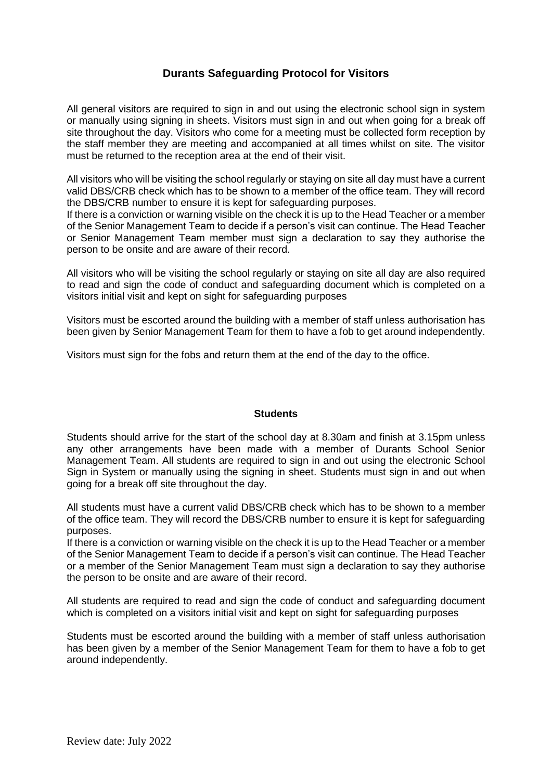## **Durants Safeguarding Protocol for Visitors**

All general visitors are required to sign in and out using the electronic school sign in system or manually using signing in sheets. Visitors must sign in and out when going for a break off site throughout the day. Visitors who come for a meeting must be collected form reception by the staff member they are meeting and accompanied at all times whilst on site. The visitor must be returned to the reception area at the end of their visit.

All visitors who will be visiting the school regularly or staying on site all day must have a current valid DBS/CRB check which has to be shown to a member of the office team. They will record the DBS/CRB number to ensure it is kept for safeguarding purposes.

If there is a conviction or warning visible on the check it is up to the Head Teacher or a member of the Senior Management Team to decide if a person's visit can continue. The Head Teacher or Senior Management Team member must sign a declaration to say they authorise the person to be onsite and are aware of their record.

All visitors who will be visiting the school regularly or staying on site all day are also required to read and sign the code of conduct and safeguarding document which is completed on a visitors initial visit and kept on sight for safeguarding purposes

Visitors must be escorted around the building with a member of staff unless authorisation has been given by Senior Management Team for them to have a fob to get around independently.

Visitors must sign for the fobs and return them at the end of the day to the office.

#### **Students**

Students should arrive for the start of the school day at 8.30am and finish at 3.15pm unless any other arrangements have been made with a member of Durants School Senior Management Team. All students are required to sign in and out using the electronic School Sign in System or manually using the signing in sheet. Students must sign in and out when going for a break off site throughout the day.

All students must have a current valid DBS/CRB check which has to be shown to a member of the office team. They will record the DBS/CRB number to ensure it is kept for safeguarding purposes.

If there is a conviction or warning visible on the check it is up to the Head Teacher or a member of the Senior Management Team to decide if a person's visit can continue. The Head Teacher or a member of the Senior Management Team must sign a declaration to say they authorise the person to be onsite and are aware of their record.

All students are required to read and sign the code of conduct and safeguarding document which is completed on a visitors initial visit and kept on sight for safeguarding purposes

Students must be escorted around the building with a member of staff unless authorisation has been given by a member of the Senior Management Team for them to have a fob to get around independently.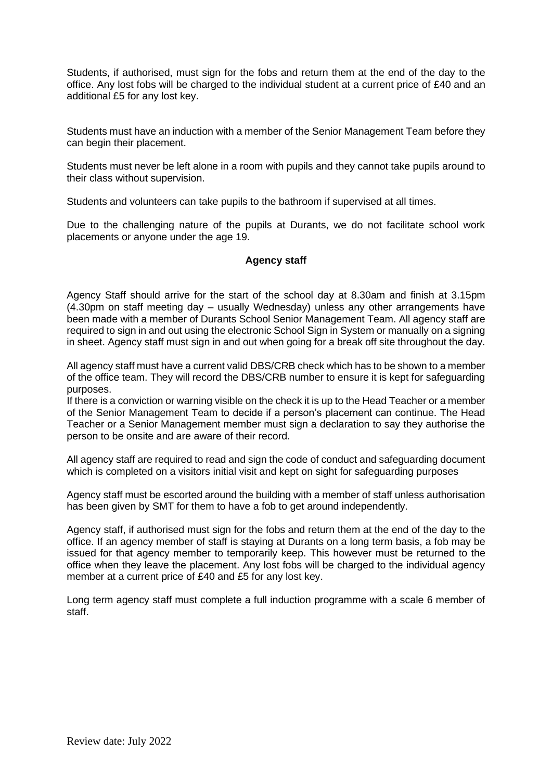Students, if authorised, must sign for the fobs and return them at the end of the day to the office. Any lost fobs will be charged to the individual student at a current price of £40 and an additional £5 for any lost key.

Students must have an induction with a member of the Senior Management Team before they can begin their placement.

Students must never be left alone in a room with pupils and they cannot take pupils around to their class without supervision.

Students and volunteers can take pupils to the bathroom if supervised at all times.

Due to the challenging nature of the pupils at Durants, we do not facilitate school work placements or anyone under the age 19.

### **Agency staff**

Agency Staff should arrive for the start of the school day at 8.30am and finish at 3.15pm (4.30pm on staff meeting day – usually Wednesday) unless any other arrangements have been made with a member of Durants School Senior Management Team. All agency staff are required to sign in and out using the electronic School Sign in System or manually on a signing in sheet. Agency staff must sign in and out when going for a break off site throughout the day.

All agency staff must have a current valid DBS/CRB check which has to be shown to a member of the office team. They will record the DBS/CRB number to ensure it is kept for safeguarding purposes.

If there is a conviction or warning visible on the check it is up to the Head Teacher or a member of the Senior Management Team to decide if a person's placement can continue. The Head Teacher or a Senior Management member must sign a declaration to say they authorise the person to be onsite and are aware of their record.

All agency staff are required to read and sign the code of conduct and safeguarding document which is completed on a visitors initial visit and kept on sight for safeguarding purposes

Agency staff must be escorted around the building with a member of staff unless authorisation has been given by SMT for them to have a fob to get around independently.

Agency staff, if authorised must sign for the fobs and return them at the end of the day to the office. If an agency member of staff is staying at Durants on a long term basis, a fob may be issued for that agency member to temporarily keep. This however must be returned to the office when they leave the placement. Any lost fobs will be charged to the individual agency member at a current price of £40 and £5 for any lost key.

Long term agency staff must complete a full induction programme with a scale 6 member of staff.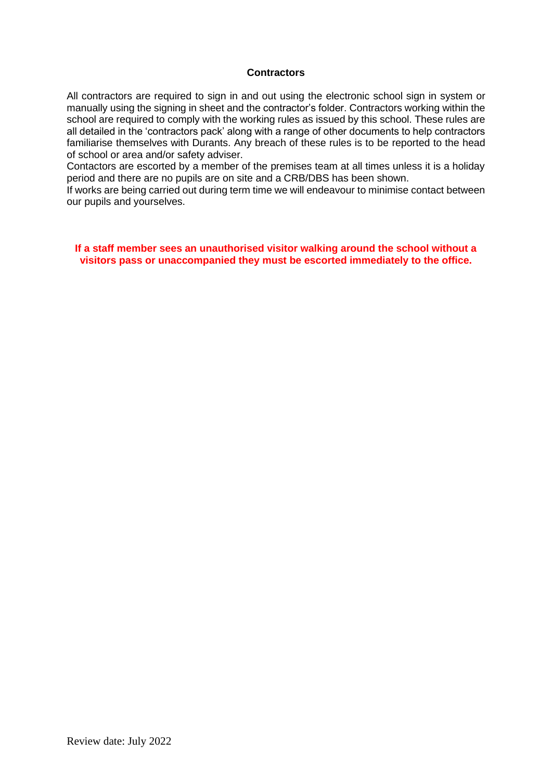#### **Contractors**

All contractors are required to sign in and out using the electronic school sign in system or manually using the signing in sheet and the contractor's folder. Contractors working within the school are required to comply with the working rules as issued by this school. These rules are all detailed in the 'contractors pack' along with a range of other documents to help contractors familiarise themselves with Durants. Any breach of these rules is to be reported to the head of school or area and/or safety adviser.

Contactors are escorted by a member of the premises team at all times unless it is a holiday period and there are no pupils are on site and a CRB/DBS has been shown.

If works are being carried out during term time we will endeavour to minimise contact between our pupils and yourselves.

**If a staff member sees an unauthorised visitor walking around the school without a visitors pass or unaccompanied they must be escorted immediately to the office.**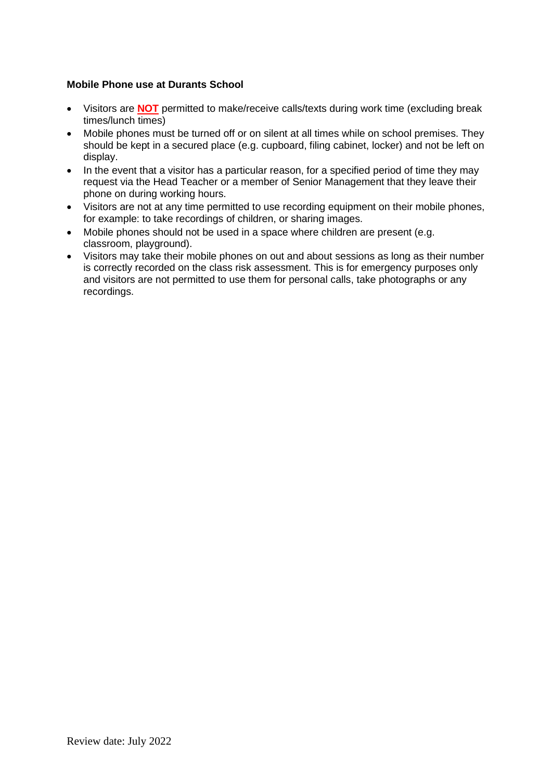### **Mobile Phone use at Durants School**

- Visitors are **NOT** permitted to make/receive calls/texts during work time (excluding break times/lunch times)
- Mobile phones must be turned off or on silent at all times while on school premises. They should be kept in a secured place (e.g. cupboard, filing cabinet, locker) and not be left on display.
- In the event that a visitor has a particular reason, for a specified period of time they may request via the Head Teacher or a member of Senior Management that they leave their phone on during working hours.
- Visitors are not at any time permitted to use recording equipment on their mobile phones, for example: to take recordings of children, or sharing images.
- Mobile phones should not be used in a space where children are present (e.g. classroom, playground).
- Visitors may take their mobile phones on out and about sessions as long as their number is correctly recorded on the class risk assessment. This is for emergency purposes only and visitors are not permitted to use them for personal calls, take photographs or any recordings.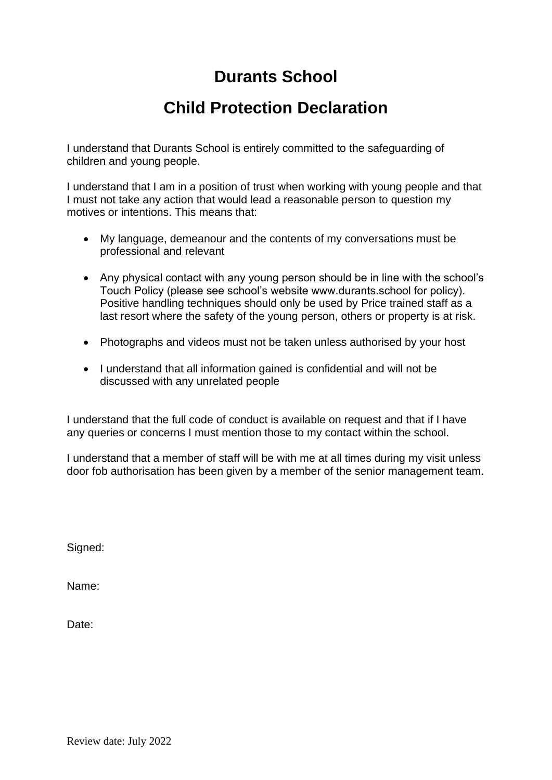# **Durants School**

# **Child Protection Declaration**

I understand that Durants School is entirely committed to the safeguarding of children and young people.

I understand that I am in a position of trust when working with young people and that I must not take any action that would lead a reasonable person to question my motives or intentions. This means that:

- My language, demeanour and the contents of my conversations must be professional and relevant
- Any physical contact with any young person should be in line with the school's Touch Policy (please see school's website www.durants.school for policy). Positive handling techniques should only be used by Price trained staff as a last resort where the safety of the young person, others or property is at risk.
- Photographs and videos must not be taken unless authorised by your host
- I understand that all information gained is confidential and will not be discussed with any unrelated people

I understand that the full code of conduct is available on request and that if I have any queries or concerns I must mention those to my contact within the school.

I understand that a member of staff will be with me at all times during my visit unless door fob authorisation has been given by a member of the senior management team.

Signed:

Name:

Date: